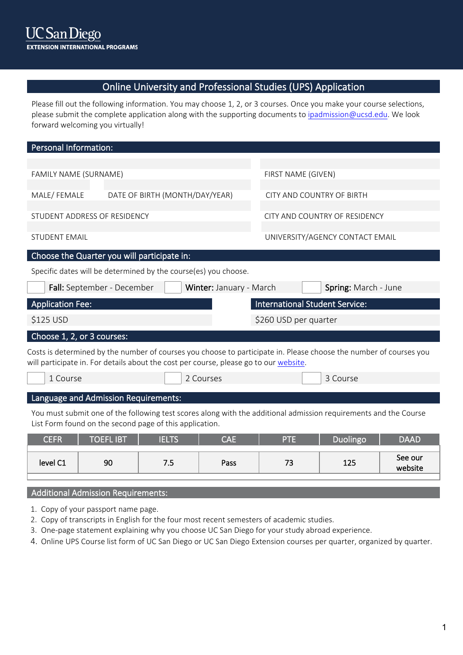# Online University and Professional Studies (UPS) Application

Please fill out the following information. You may choose 1, 2, or 3 courses. Once you make your course selections, please submit the complete application along with the supporting documents to ipadmission@ucsd.edu. We look [forward welcoming you](mailto:ipadmission@ucsd.edu) virtually!

| <b>Personal Information:</b> |                                                                                                                                                                                                             |                         |                                       |                                 |  |
|------------------------------|-------------------------------------------------------------------------------------------------------------------------------------------------------------------------------------------------------------|-------------------------|---------------------------------------|---------------------------------|--|
|                              |                                                                                                                                                                                                             |                         |                                       |                                 |  |
| FAMILY NAME (SURNAME)        |                                                                                                                                                                                                             |                         | FIRST NAME (GIVEN)                    |                                 |  |
|                              |                                                                                                                                                                                                             |                         |                                       |                                 |  |
| MALE/FEMALE                  | DATE OF BIRTH (MONTH/DAY/YEAR)                                                                                                                                                                              |                         | CITY AND COUNTRY OF BIRTH             |                                 |  |
| STUDENT ADDRESS OF RESIDENCY |                                                                                                                                                                                                             |                         |                                       | CITY AND COUNTRY OF RESIDENCY   |  |
|                              |                                                                                                                                                                                                             |                         |                                       |                                 |  |
| <b>STUDENT EMAIL</b>         |                                                                                                                                                                                                             |                         |                                       | UNIVERSITY/AGENCY CONTACT EMAIL |  |
|                              | Choose the Quarter you will participate in:                                                                                                                                                                 |                         |                                       |                                 |  |
|                              | Specific dates will be determined by the course(es) you choose.                                                                                                                                             |                         |                                       |                                 |  |
| Fall: September - December   |                                                                                                                                                                                                             | Winter: January - March |                                       | Spring: March - June            |  |
|                              |                                                                                                                                                                                                             |                         |                                       |                                 |  |
| <b>Application Fee:</b>      |                                                                                                                                                                                                             |                         | <b>International Student Service:</b> |                                 |  |
| \$125 USD                    |                                                                                                                                                                                                             |                         | \$260 USD per quarter                 |                                 |  |
| Choose 1, 2, or 3 courses:   |                                                                                                                                                                                                             |                         |                                       |                                 |  |
|                              | Costs is determined by the number of courses you choose to participate in. Please choose the number of courses you<br>will participate in. For details about the cost per course, please go to our website. |                         |                                       |                                 |  |
| 1 Course                     |                                                                                                                                                                                                             | 2 Courses               |                                       | 3 Course                        |  |
|                              |                                                                                                                                                                                                             |                         |                                       |                                 |  |
|                              | Language and Admission Requirements:                                                                                                                                                                        |                         |                                       |                                 |  |
|                              | You must submit one of the following test scores along with the additional admission requirements and the Course<br>List Form found on the second page of this application.                                 |                         |                                       |                                 |  |

| level C1 | 90 | . . | Pass | $-$ | 10F<br>753 | See our<br>website |
|----------|----|-----|------|-----|------------|--------------------|
|          |    |     |      |     |            |                    |

# Additional Admission Requirements:

- 1. Copy of your passport name page.
- 2. Copy of transcripts in English for the four most recent semesters of academic studies.
- 3. One-page statement explaining why you choose UC San Diego for your study abroad experience.
- 4. Online UPS Course list form of UC San Diego or UC San Diego Extension courses per quarter, organized by quarter.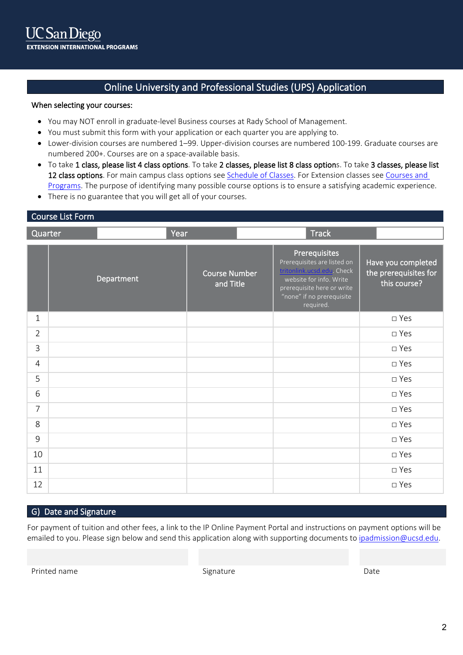# Online University and Professional Studies (UPS) Application

## When selecting your courses:

- You may NOT enroll in graduate-level Business courses at Rady School of Management.
- You must submit this form with your application or each quarter you are applying to.
- Lower-division courses are numbered 1–99. Upper-division courses are numbered 100-199. Graduate courses are numbered 200+. Courses are on a space-available basis.
- To take 1 class, please list 4 class options. To take 2 classes, please list 8 class options. To take 3 classes, please list 12 class options. For main campus class options see [Schedule of Classes.](https://act.ucsd.edu/scheduleOfClasses/scheduleOfClassesStudent.htm) For Extension classes see Courses and [Programs.](https://extension.ucsd.edu/courses-and-programs) The purpose of identifying many possible course options is to ensure a satisfying academic experience.
- There is no guarantee that you will get all of your courses.

## Course List Form

| Quarter        | Year       |                                   | <b>Track</b>                                                                                                                                                                  |                                                             |
|----------------|------------|-----------------------------------|-------------------------------------------------------------------------------------------------------------------------------------------------------------------------------|-------------------------------------------------------------|
|                | Department | <b>Course Number</b><br>and Title | Prerequisites<br>Prerequisites are listed on<br>tritonlink.ucsd.edu. Check<br>website for info. Write<br>prerequisite here or write<br>"none" if no prerequisite<br>required. | Have you completed<br>the prerequisites for<br>this course? |
| $\mathbf{1}$   |            |                                   |                                                                                                                                                                               | □ Yes                                                       |
| $\overline{2}$ |            |                                   |                                                                                                                                                                               | $\square$ Yes                                               |
| $\overline{3}$ |            |                                   |                                                                                                                                                                               | □ Yes                                                       |
| $\overline{4}$ |            |                                   |                                                                                                                                                                               | $\square$ Yes                                               |
| 5              |            |                                   |                                                                                                                                                                               | $\square$ Yes                                               |
| 6              |            |                                   |                                                                                                                                                                               | $\square$ Yes                                               |
| $\overline{7}$ |            |                                   |                                                                                                                                                                               | □ Yes                                                       |
| 8              |            |                                   |                                                                                                                                                                               | $\square$ Yes                                               |
| 9              |            |                                   |                                                                                                                                                                               | □ Yes                                                       |
| 10             |            |                                   |                                                                                                                                                                               | □ Yes                                                       |
| 11             |            |                                   |                                                                                                                                                                               | $\square$ Yes                                               |
| 12             |            |                                   |                                                                                                                                                                               | □ Yes                                                       |

## G) Date and Signature

For payment of tuition and other fees, a link to the IP Online Payment Portal and instructions on payment options will be emailed to you. Please sign below and send this application along with supporting documents to [ipadmission@ucsd.edu.](mailto:ipadmission@ucsd.edu)

Printed name **Signature** Date **Signature Signature Date Date Date**